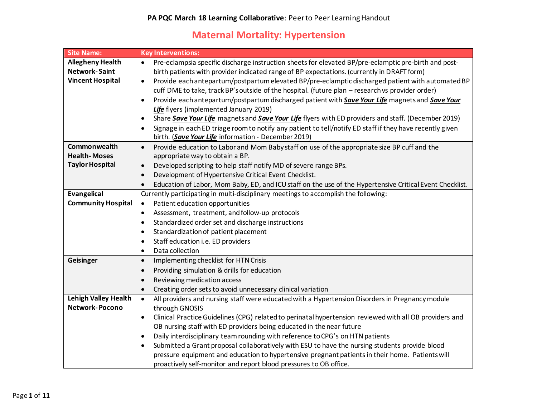## **Maternal Mortality: Hypertension**

| <b>Site Name:</b>           | <b>Key Interventions:</b>                                                                                             |
|-----------------------------|-----------------------------------------------------------------------------------------------------------------------|
| <b>Allegheny Health</b>     | Pre-eclampsia specific discharge instruction sheets for elevated BP/pre-eclamptic pre-birth and post-<br>$\bullet$    |
| <b>Network-Saint</b>        | birth patients with provider indicated range of BP expectations. (currently in DRAFT form)                            |
| <b>Vincent Hospital</b>     | Provide each antepartum/postpartum elevated BP/pre-eclamptic discharged patient with automated BP<br>$\bullet$        |
|                             | cuff DME to take, track BP's outside of the hospital. (future plan - research vs provider order)                      |
|                             | Provide each antepartum/postpartum discharged patient with Save Your Life magnets and Save Your<br>$\bullet$          |
|                             | Life flyers (implemented January 2019)                                                                                |
|                             | Share Save Your Life magnets and Save Your Life flyers with ED providers and staff. (December 2019)<br>$\bullet$      |
|                             | Signage in each ED triage room to notify any patient to tell/notify ED staff if they have recently given<br>$\bullet$ |
|                             | birth. (Save Your Life information - December 2019)                                                                   |
| Commonwealth                | Provide education to Labor and Mom Baby staff on use of the appropriate size BP cuff and the<br>$\bullet$             |
| <b>Health-Moses</b>         | appropriate way to obtain a BP.                                                                                       |
| <b>Taylor Hospital</b>      | Developed scripting to help staff notify MD of severe range BPs.<br>$\bullet$                                         |
|                             | Development of Hypertensive Critical Event Checklist.<br>$\bullet$                                                    |
|                             | Education of Labor, Mom Baby, ED, and ICU staff on the use of the Hypertensive Critical Event Checklist.<br>$\bullet$ |
| <b>Evangelical</b>          | Currently participating in multi-disciplinary meetings to accomplish the following:                                   |
| <b>Community Hospital</b>   | Patient education opportunities<br>$\bullet$                                                                          |
|                             | Assessment, treatment, and follow-up protocols<br>$\bullet$                                                           |
|                             | Standardized order set and discharge instructions<br>$\bullet$                                                        |
|                             | Standardization of patient placement<br>$\bullet$                                                                     |
|                             | Staff education i.e. ED providers<br>$\bullet$                                                                        |
|                             | Data collection<br>$\bullet$                                                                                          |
| Geisinger                   | Implementing checklist for HTN Crisis<br>$\bullet$                                                                    |
|                             | Providing simulation & drills for education<br>$\bullet$                                                              |
|                             | Reviewing medication access<br>$\bullet$                                                                              |
|                             | Creating order sets to avoid unnecessary clinical variation<br>$\bullet$                                              |
| <b>Lehigh Valley Health</b> | All providers and nursing staff were educated with a Hypertension Disorders in Pregnancy module<br>$\bullet$          |
| <b>Network-Pocono</b>       | through GNOSIS                                                                                                        |
|                             | Clinical Practice Guidelines (CPG) related to perinatal hypertension reviewed with all OB providers and<br>$\bullet$  |
|                             | OB nursing staff with ED providers being educated in the near future                                                  |
|                             | Daily interdisciplinary team rounding with reference to CPG's on HTN patients<br>$\bullet$                            |
|                             | Submitted a Grant proposal collaboratively with ESU to have the nursing students provide blood<br>$\bullet$           |
|                             | pressure equipment and education to hypertensive pregnant patients in their home. Patients will                       |
|                             | proactively self-monitor and report blood pressures to OB office.                                                     |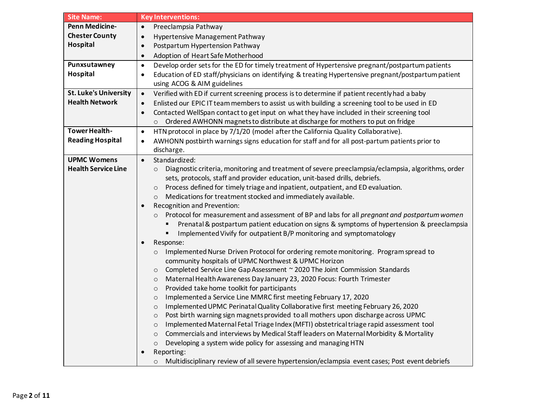| <b>Site Name:</b>            | <b>Key Interventions:</b>                                                                                        |
|------------------------------|------------------------------------------------------------------------------------------------------------------|
| <b>Penn Medicine-</b>        | Preeclampsia Pathway<br>$\bullet$                                                                                |
| <b>Chester County</b>        | Hypertensive Management Pathway<br>$\bullet$                                                                     |
| Hospital                     | Postpartum Hypertension Pathway<br>$\bullet$                                                                     |
|                              | Adoption of Heart Safe Motherhood<br>$\bullet$                                                                   |
| Punxsutawney                 | Develop order sets for the ED for timely treatment of Hypertensive pregnant/postpartum patients<br>$\bullet$     |
| Hospital                     | Education of ED staff/physicians on identifying & treating Hypertensive pregnant/postpartum patient<br>$\bullet$ |
|                              | using ACOG & AIM guidelines                                                                                      |
| <b>St. Luke's University</b> | Verified with ED if current screening process is to determine if patient recently had a baby<br>$\bullet$        |
| <b>Health Network</b>        | Enlisted our EPIC IT team members to assist us with building a screening tool to be used in ED<br>$\bullet$      |
|                              | Contacted WellSpan contact to get input on what they have included in their screening tool<br>$\bullet$          |
|                              | Ordered AWHONN magnets to distribute at discharge for mothers to put on fridge<br>$\circ$                        |
| <b>Tower Health-</b>         | HTN protocol in place by 7/1/20 (model after the California Quality Collaborative).<br>$\bullet$                 |
| <b>Reading Hospital</b>      | AWHONN postbirth warnings signs education for staff and for all post-partum patients prior to<br>$\bullet$       |
|                              | discharge.                                                                                                       |
| <b>UPMC Womens</b>           | Standardized:<br>$\bullet$                                                                                       |
| <b>Health Service Line</b>   | Diagnostic criteria, monitoring and treatment of severe preeclampsia/eclampsia, algorithms, order<br>$\circ$     |
|                              | sets, protocols, staff and provider education, unit-based drills, debriefs.                                      |
|                              | Process defined for timely triage and inpatient, outpatient, and ED evaluation.<br>$\circ$                       |
|                              | Medications for treatment stocked and immediately available.<br>$\circ$                                          |
|                              | Recognition and Prevention:                                                                                      |
|                              | Protocol for measurement and assessment of BP and labs for all pregnant and postpartum women<br>$\circ$          |
|                              | Prenatal & postpartum patient education on signs & symptoms of hypertension & preeclampsia                       |
|                              | Implemented Vivify for outpatient B/P monitoring and symptomatology                                              |
|                              | Response:                                                                                                        |
|                              | Implemented Nurse Driven Protocol for ordering remote monitoring. Program spread to<br>$\circ$                   |
|                              | community hospitals of UPMC Northwest & UPMC Horizon                                                             |
|                              | Completed Service Line Gap Assessment ~ 2020 The Joint Commission Standards<br>$\circ$                           |
|                              | Maternal Health Awareness Day January 23, 2020 Focus: Fourth Trimester<br>$\circ$                                |
|                              | Provided take home toolkit for participants<br>$\circ$                                                           |
|                              | Implemented a Service Line MMRC first meeting February 17, 2020<br>$\circ$                                       |
|                              | Implemented UPMC Perinatal Quality Collaborative first meeting February 26, 2020<br>$\circ$                      |
|                              | Post birth warning sign magnets provided to all mothers upon discharge across UPMC                               |
|                              | Implemented Maternal Fetal Triage Index (MFTI) obstetrical triage rapid assessment tool<br>$\circ$               |
|                              | Commercials and interviews by Medical Staff leaders on Maternal Morbidity & Mortality<br>$\circ$                 |
|                              | Developing a system wide policy for assessing and managing HTN<br>$\circ$                                        |
|                              | Reporting:                                                                                                       |
|                              | Multidisciplinary review of all severe hypertension/eclampsia event cases; Post event debriefs                   |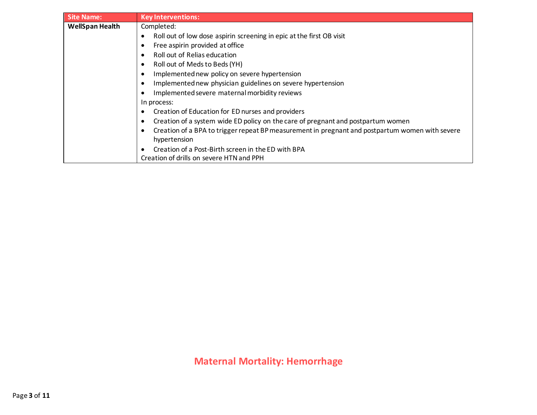| <b>Site Name:</b>      | <b>Key Interventions:</b>                                                                       |
|------------------------|-------------------------------------------------------------------------------------------------|
| <b>WellSpan Health</b> | Completed:                                                                                      |
|                        | Roll out of low dose aspirin screening in epic at the first OB visit<br>$\bullet$               |
|                        | Free aspirin provided at office                                                                 |
|                        | Roll out of Relias education                                                                    |
|                        | Roll out of Meds to Beds (YH)<br>٠                                                              |
|                        | Implemented new policy on severe hypertension<br>$\bullet$                                      |
|                        | Implemented new physician guidelines on severe hypertension                                     |
|                        | Implemented severe maternal morbidity reviews<br>6                                              |
|                        | In process:                                                                                     |
|                        | Creation of Education for ED nurses and providers<br>$\bullet$                                  |
|                        | Creation of a system wide ED policy on the care of pregnant and postpartum women<br>٠           |
|                        | Creation of a BPA to trigger repeat BP measurement in pregnant and postpartum women with severe |
|                        | hypertension                                                                                    |
|                        | Creation of a Post-Birth screen in the ED with BPA<br>$\bullet$                                 |
|                        | Creation of drills on severe HTN and PPH                                                        |

**Maternal Mortality: Hemorrhage**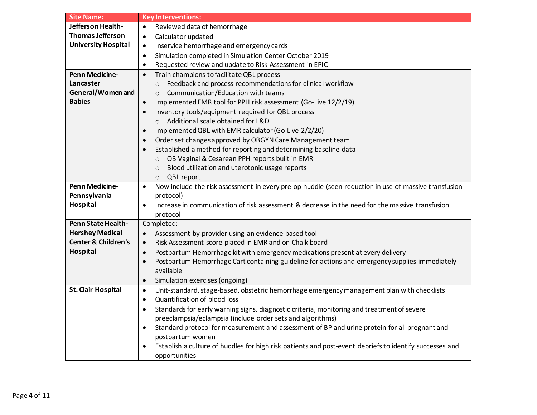| <b>Site Name:</b>              | <b>Key Interventions:</b>                                                                                         |
|--------------------------------|-------------------------------------------------------------------------------------------------------------------|
| Jefferson Health-              | Reviewed data of hemorrhage<br>$\bullet$                                                                          |
| <b>Thomas Jefferson</b>        | Calculator updated<br>$\bullet$                                                                                   |
| <b>University Hospital</b>     | Inservice hemorrhage and emergency cards<br>٠                                                                     |
|                                | Simulation completed in Simulation Center October 2019<br>$\bullet$                                               |
|                                | Requested review and update to Risk Assessment in EPIC<br>$\bullet$                                               |
| <b>Penn Medicine-</b>          | Train champions to facilitate QBL process<br>$\bullet$                                                            |
| Lancaster                      | Feedback and process recommendations for clinical workflow<br>$\circ$                                             |
| General/Women and              | Communication/Education with teams<br>$\circ$                                                                     |
| <b>Babies</b>                  | Implemented EMR tool for PPH risk assessment (Go-Live 12/2/19)<br>$\bullet$                                       |
|                                | Inventory tools/equipment required for QBL process<br>$\bullet$                                                   |
|                                | o Additional scale obtained for L&D                                                                               |
|                                | Implemented QBL with EMR calculator (Go-Live 2/2/20)<br>$\bullet$                                                 |
|                                | Order set changes approved by OBGYN Care Management team<br>$\bullet$                                             |
|                                | Established a method for reporting and determining baseline data<br>$\bullet$                                     |
|                                | OB Vaginal & Cesarean PPH reports built in EMR<br>$\circ$                                                         |
|                                | Blood utilization and uterotonic usage reports<br>$\circ$                                                         |
|                                | QBL report<br>$\circ$                                                                                             |
| <b>Penn Medicine-</b>          | Now include the risk assessment in every pre-op huddle (seen reduction in use of massive transfusion<br>$\bullet$ |
| Pennsylvania                   | protocol)                                                                                                         |
| Hospital                       | Increase in communication of risk assessment & decrease in the need for the massive transfusion<br>$\bullet$      |
|                                | protocol                                                                                                          |
| Penn State Health-             | Completed:                                                                                                        |
| <b>Hershey Medical</b>         | Assessment by provider using an evidence-based tool<br>$\bullet$                                                  |
| <b>Center &amp; Children's</b> | Risk Assessment score placed in EMR and on Chalk board<br>$\bullet$                                               |
| Hospital                       | Postpartum Hemorrhage kit with emergency medications present at every delivery<br>$\bullet$                       |
|                                | Postpartum Hemorrhage Cart containing guideline for actions and emergency supplies immediately<br>$\bullet$       |
|                                | available                                                                                                         |
|                                | Simulation exercises (ongoing)<br>$\bullet$                                                                       |
| <b>St. Clair Hospital</b>      | Unit-standard, stage-based, obstetric hemorrhage emergency management plan with checklists<br>$\bullet$           |
|                                | Quantification of blood loss<br>$\bullet$                                                                         |
|                                | Standards for early warning signs, diagnostic criteria, monitoring and treatment of severe<br>$\bullet$           |
|                                | preeclampsia/eclampsia (include order sets and algorithms)                                                        |
|                                | Standard protocol for measurement and assessment of BP and urine protein for all pregnant and<br>$\bullet$        |
|                                | postpartum women                                                                                                  |
|                                | Establish a culture of huddles for high risk patients and post-event debriefs to identify successes and           |
|                                | opportunities                                                                                                     |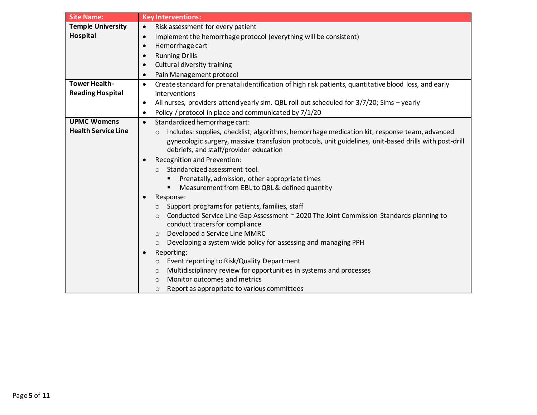| <b>Temple University</b><br>Risk assessment for every patient<br>$\bullet$<br>Hospital<br>Implement the hemorrhage protocol (everything will be consistent)<br>$\bullet$<br>Hemorrhage cart<br><b>Running Drills</b><br>Cultural diversity training<br>Pain Management protocol<br><b>Tower Health-</b><br>Create standard for prenatal identification of high risk patients, quantitative blood loss, and early<br>$\bullet$ |
|-------------------------------------------------------------------------------------------------------------------------------------------------------------------------------------------------------------------------------------------------------------------------------------------------------------------------------------------------------------------------------------------------------------------------------|
|                                                                                                                                                                                                                                                                                                                                                                                                                               |
|                                                                                                                                                                                                                                                                                                                                                                                                                               |
|                                                                                                                                                                                                                                                                                                                                                                                                                               |
|                                                                                                                                                                                                                                                                                                                                                                                                                               |
|                                                                                                                                                                                                                                                                                                                                                                                                                               |
|                                                                                                                                                                                                                                                                                                                                                                                                                               |
|                                                                                                                                                                                                                                                                                                                                                                                                                               |
| <b>Reading Hospital</b><br>interventions                                                                                                                                                                                                                                                                                                                                                                                      |
| All nurses, providers attend yearly sim. QBL roll-out scheduled for 3/7/20; Sims - yearly<br>$\bullet$                                                                                                                                                                                                                                                                                                                        |
| Policy / protocol in place and communicated by 7/1/20                                                                                                                                                                                                                                                                                                                                                                         |
| <b>UPMC Womens</b><br>Standardized hemorrhage cart:<br>$\bullet$                                                                                                                                                                                                                                                                                                                                                              |
| <b>Health Service Line</b><br>Includes: supplies, checklist, algorithms, hemorrhage medication kit, response team, advanced<br>$\circ$                                                                                                                                                                                                                                                                                        |
| gynecologic surgery, massive transfusion protocols, unit guidelines, unit-based drills with post-drill                                                                                                                                                                                                                                                                                                                        |
| debriefs, and staff/provider education                                                                                                                                                                                                                                                                                                                                                                                        |
| Recognition and Prevention:                                                                                                                                                                                                                                                                                                                                                                                                   |
| Standardized assessment tool.<br>$\Omega$                                                                                                                                                                                                                                                                                                                                                                                     |
| Prenatally, admission, other appropriate times<br>٠                                                                                                                                                                                                                                                                                                                                                                           |
| Measurement from EBL to QBL & defined quantity<br>٠                                                                                                                                                                                                                                                                                                                                                                           |
| Response:                                                                                                                                                                                                                                                                                                                                                                                                                     |
| Support programs for patients, families, staff<br>$\circ$                                                                                                                                                                                                                                                                                                                                                                     |
| Conducted Service Line Gap Assessment ~ 2020 The Joint Commission Standards planning to<br>$\circ$                                                                                                                                                                                                                                                                                                                            |
| conduct tracers for compliance<br>Developed a Service Line MMRC                                                                                                                                                                                                                                                                                                                                                               |
| $\circ$<br>Developing a system wide policy for assessing and managing PPH                                                                                                                                                                                                                                                                                                                                                     |
| $\circ$                                                                                                                                                                                                                                                                                                                                                                                                                       |
| Reporting:                                                                                                                                                                                                                                                                                                                                                                                                                    |
| Event reporting to Risk/Quality Department<br>O<br>Multidisciplinary review for opportunities in systems and processes                                                                                                                                                                                                                                                                                                        |
| $\circ$<br>Monitor outcomes and metrics<br>$\Omega$                                                                                                                                                                                                                                                                                                                                                                           |
| Report as appropriate to various committees<br>$\circ$                                                                                                                                                                                                                                                                                                                                                                        |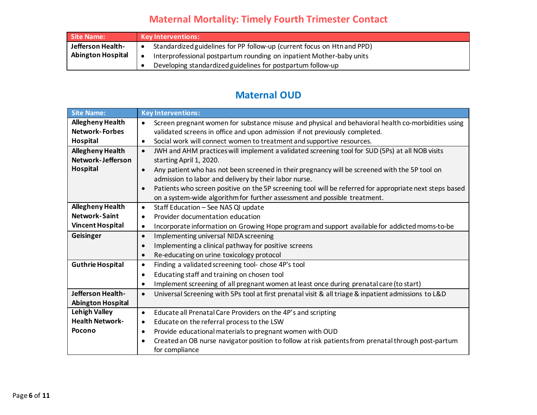## **Maternal Mortality: Timely Fourth Trimester Contact**

| Site Name:               | <b>Key Interventions:</b>                                                            |
|--------------------------|--------------------------------------------------------------------------------------|
| Jefferson Health-        | Standardized guidelines for PP follow-up (current focus on Htn and PPD)<br>$\bullet$ |
| <b>Abington Hospital</b> | Interprofessional postpartum rounding on inpatient Mother-baby units<br>$\bullet$    |
|                          | Developing standardized guidelines for postpartum follow-up                          |

## **Maternal OUD**

| <b>Site Name:</b>                                | <b>Key Interventions:</b>                                                                                            |
|--------------------------------------------------|----------------------------------------------------------------------------------------------------------------------|
| <b>Allegheny Health</b><br><b>Network-Forbes</b> | Screen pregnant women for substance misuse and physical and behavioral health co-morbidities using<br>$\bullet$      |
|                                                  | validated screens in office and upon admission if not previously completed.                                          |
| Hospital                                         | Social work will connect women to treatment and supportive resources.<br>$\bullet$                                   |
| <b>Allegheny Health</b>                          | JWH and AHM practices will implement a validated screening tool for SUD (5Ps) at all NOB visits<br>$\bullet$         |
| Network-Jefferson                                | starting April 1, 2020.                                                                                              |
| Hospital                                         | Any patient who has not been screened in their pregnancy will be screened with the 5P tool on<br>$\bullet$           |
|                                                  | admission to labor and delivery by their labor nurse.                                                                |
|                                                  | Patients who screen positive on the 5P screening tool will be referred for appropriate next steps based<br>$\bullet$ |
|                                                  | on a system-wide algorithm for further assessment and possible treatment.                                            |
| <b>Allegheny Health</b>                          | Staff Education - See NAS QI update<br>$\bullet$                                                                     |
| <b>Network-Saint</b>                             | Provider documentation education<br>$\bullet$                                                                        |
| <b>Vincent Hospital</b>                          | Incorporate information on Growing Hope program and support available for addicted moms-to-be<br>$\bullet$           |
| Geisinger                                        | Implementing universal NIDA screening<br>$\bullet$                                                                   |
|                                                  | Implementing a clinical pathway for positive screens<br>$\bullet$                                                    |
|                                                  | Re-educating on urine toxicology protocol<br>$\bullet$                                                               |
| <b>Guthrie Hospital</b>                          | Finding a validated screening tool- chose 4P's tool<br>$\bullet$                                                     |
|                                                  | Educating staff and training on chosen tool<br>$\bullet$                                                             |
|                                                  | Implement screening of all pregnant women at least once during prenatal care (to start)<br>$\bullet$                 |
| Jefferson Health-                                | Universal Screening with 5Ps tool at first prenatal visit & all triage & inpatient admissions to L&D<br>$\bullet$    |
| <b>Abington Hospital</b>                         |                                                                                                                      |
| <b>Lehigh Valley</b>                             | Educate all Prenatal Care Providers on the 4P's and scripting<br>$\bullet$                                           |
| <b>Health Network-</b>                           | Educate on the referral process to the LSW<br>$\bullet$                                                              |
| Pocono                                           | Provide educational materials to pregnant women with OUD<br>$\bullet$                                                |
|                                                  | Created an OB nurse navigator position to follow at risk patients from prenatal through post-partum<br>$\bullet$     |
|                                                  | for compliance                                                                                                       |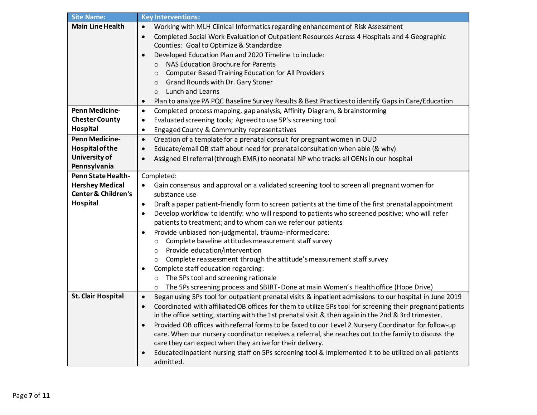| <b>Site Name:</b>              | <b>Key Interventions:</b>                                                                                              |
|--------------------------------|------------------------------------------------------------------------------------------------------------------------|
| <b>Main Line Health</b>        | Working with MLH Clinical Informatics regarding enhancement of Risk Assessment<br>$\bullet$                            |
|                                | Completed Social Work Evaluation of Outpatient Resources Across 4 Hospitals and 4 Geographic<br>$\bullet$              |
|                                | Counties: Goal to Optimize & Standardize                                                                               |
|                                | Developed Education Plan and 2020 Timeline to include:<br>$\bullet$                                                    |
|                                | NAS Education Brochure for Parents<br>$\Omega$                                                                         |
|                                | <b>Computer Based Training Education for All Providers</b><br>$\circ$                                                  |
|                                | <b>Grand Rounds with Dr. Gary Stoner</b><br>$\circ$                                                                    |
|                                | <b>Lunch and Learns</b><br>$\circ$                                                                                     |
|                                | Plan to analyze PA PQC Baseline Survey Results & Best Practices to identify Gaps in Care/Education<br>$\bullet$        |
| <b>Penn Medicine-</b>          | Completed process mapping, gap analysis, Affinity Diagram, & brainstorming<br>$\bullet$                                |
| <b>Chester County</b>          | Evaluated screening tools; Agreed to use 5P's screening tool<br>٠                                                      |
| Hospital                       | Engaged County & Community representatives<br>$\bullet$                                                                |
| Penn Medicine-                 | Creation of a template for a prenatal consult for pregnant women in OUD<br>$\bullet$                                   |
| <b>Hospital of the</b>         | Educate/email OB staff about need for prenatal consultation when able (& why)<br>$\bullet$                             |
| University of                  | Assigned El referral (through EMR) to neonatal NP who tracks all OENs in our hospital<br>$\bullet$                     |
| Pennsylvania                   |                                                                                                                        |
| <b>Penn State Health-</b>      | Completed:                                                                                                             |
| <b>Hershey Medical</b>         | Gain consensus and approval on a validated screening tool to screen all pregnant women for<br>$\bullet$                |
| <b>Center &amp; Children's</b> | substance use                                                                                                          |
| Hospital                       | Draft a paper patient-friendly form to screen patients at the time of the first prenatal appointment<br>$\bullet$      |
|                                | Develop workflow to identify: who will respond to patients who screened positive; who will refer<br>$\bullet$          |
|                                | patients to treatment; and to whom can we refer our patients                                                           |
|                                | Provide unbiased non-judgmental, trauma-informed care:<br>$\bullet$                                                    |
|                                | Complete baseline attitudes measurement staff survey<br>$\circ$                                                        |
|                                | Provide education/intervention<br>$\circ$                                                                              |
|                                | o Complete reassessment through the attitude's measurement staff survey                                                |
|                                | Complete staff education regarding:                                                                                    |
|                                | The 5Ps tool and screening rationale<br>$\circ$                                                                        |
|                                | The 5Ps screening process and SBIRT-Done at main Women's Health office (Hope Drive)<br>$\circ$                         |
| <b>St. Clair Hospital</b>      | Began using 5Ps tool for outpatient prenatal visits & inpatient admissions to our hospital in June 2019<br>$\bullet$   |
|                                | Coordinated with affiliated OB offices for them to utilize 5Ps tool for screening their pregnant patients<br>$\bullet$ |
|                                | in the office setting, starting with the 1st prenatal visit & then again in the 2nd & 3rd trimester.                   |
|                                | Provided OB offices with referral forms to be faxed to our Level 2 Nursery Coordinator for follow-up<br>$\bullet$      |
|                                | care. When our nursery coordinator receives a referral, she reaches out to the family to discuss the                   |
|                                | care they can expect when they arrive for their delivery.                                                              |
|                                | Educated inpatient nursing staff on 5Ps screening tool & implemented it to be utilized on all patients                 |
|                                | admitted.                                                                                                              |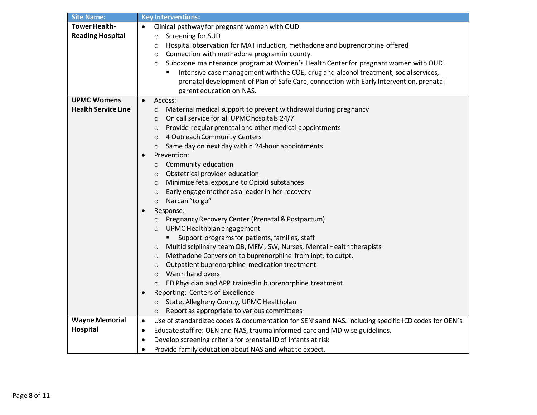| <b>Site Name:</b>          | <b>Key Interventions:</b>                                                                                        |
|----------------------------|------------------------------------------------------------------------------------------------------------------|
| <b>Tower Health-</b>       | Clinical pathway for pregnant women with OUD<br>$\bullet$                                                        |
| <b>Reading Hospital</b>    | Screening for SUD<br>$\circ$                                                                                     |
|                            | Hospital observation for MAT induction, methadone and buprenorphine offered<br>$\circ$                           |
|                            | Connection with methadone program in county.<br>O                                                                |
|                            | Suboxone maintenance program at Women's Health Center for pregnant women with OUD.<br>O                          |
|                            | Intensive case management with the COE, drug and alcohol treatment, social services,                             |
|                            | prenatal development of Plan of Safe Care, connection with Early Intervention, prenatal                          |
|                            | parent education on NAS.                                                                                         |
| <b>UPMC Womens</b>         | Access:<br>$\bullet$                                                                                             |
| <b>Health Service Line</b> | Maternal medical support to prevent withdrawal during pregnancy<br>$\circ$                                       |
|                            | On call service for all UPMC hospitals 24/7<br>$\circ$                                                           |
|                            | Provide regular prenatal and other medical appointments<br>$\circ$                                               |
|                            | 4 Outreach Community Centers<br>$\circ$                                                                          |
|                            | Same day on next day within 24-hour appointments<br>$\circ$                                                      |
|                            | Prevention:                                                                                                      |
|                            | Community education<br>$\circ$                                                                                   |
|                            | Obstetrical provider education                                                                                   |
|                            | $\circ$<br>Minimize fetal exposure to Opioid substances<br>$\circ$                                               |
|                            | Early engage mother as a leader in her recovery                                                                  |
|                            | $\circ$<br>Narcan "to go"                                                                                        |
|                            | $\circ$                                                                                                          |
|                            | Response:<br>$\bullet$                                                                                           |
|                            | Pregnancy Recovery Center (Prenatal & Postpartum)<br>$\circ$                                                     |
|                            | UPMC Healthplan engagement<br>$\circ$                                                                            |
|                            | Support programs for patients, families, staff                                                                   |
|                            | Multidisciplinary team OB, MFM, SW, Nurses, Mental Health therapists<br>$\circ$                                  |
|                            | Methadone Conversion to buprenorphine from inpt. to outpt.<br>$\circ$                                            |
|                            | Outpatient buprenorphine medication treatment<br>$\circ$                                                         |
|                            | Warm hand overs<br>$\circ$                                                                                       |
|                            | ED Physician and APP trained in buprenorphine treatment<br>$\circ$                                               |
|                            | Reporting: Centers of Excellence                                                                                 |
|                            | State, Allegheny County, UPMC Healthplan<br>$\circ$                                                              |
|                            | Report as appropriate to various committees<br>$\circ$                                                           |
| <b>Wayne Memorial</b>      | Use of standardized codes & documentation for SEN's and NAS. Including specific ICD codes for OEN's<br>$\bullet$ |
| Hospital                   | Educate staff re: OEN and NAS, trauma informed care and MD wise guidelines.<br>$\bullet$                         |
|                            | Develop screening criteria for prenatal ID of infants at risk<br>٠                                               |
|                            | Provide family education about NAS and what to expect.<br>$\bullet$                                              |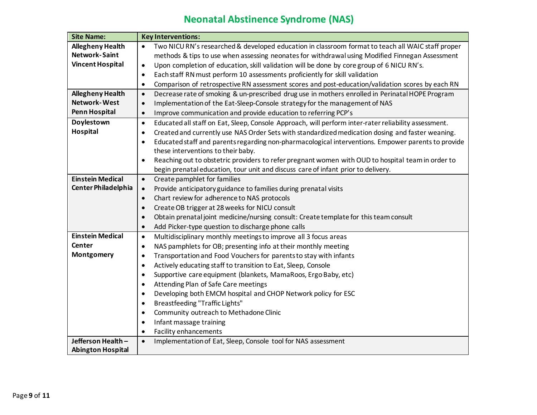## **Neonatal Abstinence Syndrome (NAS)**

| <b>Site Name:</b>          | <b>Key Interventions:</b>                                                                                         |
|----------------------------|-------------------------------------------------------------------------------------------------------------------|
| <b>Allegheny Health</b>    | Two NICU RN's researched & developed education in classroom format to teach all WAIC staff proper                 |
| <b>Network-Saint</b>       | methods & tips to use when assessing neonates for withdrawal using Modified Finnegan Assessment                   |
| <b>Vincent Hospital</b>    | Upon completion of education, skill validation will be done by core group of 6 NICU RN's.<br>$\bullet$            |
|                            | Each staff RN must perform 10 assessments proficiently for skill validation<br>$\bullet$                          |
|                            | Comparison of retrospective RN assessment scores and post-education/validation scores by each RN<br>$\bullet$     |
| <b>Allegheny Health</b>    | Decrease rate of smoking & un-prescribed drug use in mothers enrolled in Perinatal HOPE Program<br>$\bullet$      |
| <b>Network-West</b>        | Implementation of the Eat-Sleep-Console strategy for the management of NAS<br>$\bullet$                           |
| <b>Penn Hospital</b>       | Improve communication and provide education to referring PCP's<br>$\bullet$                                       |
| Doylestown                 | Educated all staff on Eat, Sleep, Console Approach, will perform inter-rater reliability assessment.<br>$\bullet$ |
| Hospital                   | Created and currently use NAS Order Sets with standardized medication dosing and faster weaning.<br>$\bullet$     |
|                            | Educated staff and parents regarding non-pharmacological interventions. Empower parents to provide<br>$\bullet$   |
|                            | these interventions to their baby.                                                                                |
|                            | Reaching out to obstetric providers to refer pregnant women with OUD to hospital team in order to<br>$\bullet$    |
|                            | begin prenatal education, tour unit and discuss care of infant prior to delivery.                                 |
| <b>Einstein Medical</b>    | Create pamphlet for families<br>$\bullet$                                                                         |
| <b>Center Philadelphia</b> | Provide anticipatory guidance to families during prenatal visits<br>$\bullet$                                     |
|                            | Chart review for adherence to NAS protocols<br>$\bullet$                                                          |
|                            | Create OB trigger at 28 weeks for NICU consult<br>$\bullet$                                                       |
|                            | Obtain prenatal joint medicine/nursing consult: Create template for this team consult<br>$\bullet$                |
|                            | Add Picker-type question to discharge phone calls<br>$\bullet$                                                    |
| <b>Einstein Medical</b>    | Multidisciplinary monthly meetings to improve all 3 focus areas<br>$\bullet$                                      |
| Center                     | NAS pamphlets for OB; presenting info at their monthly meeting<br>$\bullet$                                       |
| Montgomery                 | Transportation and Food Vouchers for parents to stay with infants<br>$\bullet$                                    |
|                            | Actively educating staff to transition to Eat, Sleep, Console<br>$\bullet$                                        |
|                            | Supportive care equipment (blankets, MamaRoos, Ergo Baby, etc)<br>$\bullet$                                       |
|                            | Attending Plan of Safe Care meetings<br>$\bullet$                                                                 |
|                            | Developing both EMCM hospital and CHOP Network policy for ESC<br>$\bullet$                                        |
|                            | Breastfeeding "Traffic Lights"<br>$\bullet$                                                                       |
|                            | Community outreach to Methadone Clinic<br>$\bullet$                                                               |
|                            | Infant massage training<br>$\bullet$                                                                              |
|                            | Facility enhancements<br>$\bullet$                                                                                |
| Jefferson Health-          | Implementation of Eat, Sleep, Console tool for NAS assessment<br>$\bullet$                                        |
| <b>Abington Hospital</b>   |                                                                                                                   |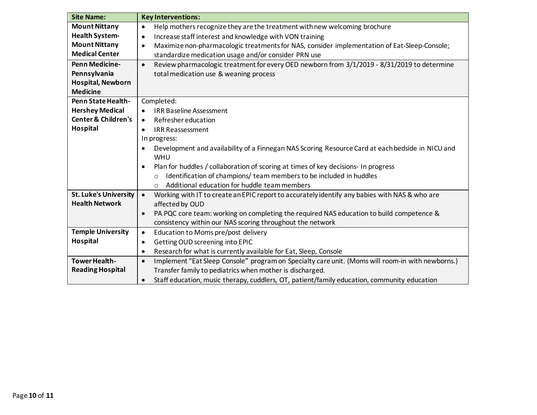| <b>Site Name:</b>              | <b>Key Interventions:</b>                                                                                     |
|--------------------------------|---------------------------------------------------------------------------------------------------------------|
| <b>Mount Nittany</b>           | Help mothers recognize they are the treatment with new welcoming brochure<br>$\bullet$                        |
| <b>Health System-</b>          | Increase staff interest and knowledge with VON training<br>$\bullet$                                          |
| <b>Mount Nittany</b>           | Maximize non-pharmacologic treatments for NAS, consider implementation of Eat-Sleep-Console;<br>$\bullet$     |
| <b>Medical Center</b>          | standardize medication usage and/or consider PRN use                                                          |
| <b>Penn Medicine-</b>          | Review pharmacologic treatment for every OED newborn from 3/1/2019 - 8/31/2019 to determine<br>$\bullet$      |
| Pennsylvania                   | total medication use & weaning process                                                                        |
| <b>Hospital, Newborn</b>       |                                                                                                               |
| <b>Medicine</b>                |                                                                                                               |
| <b>Penn State Health-</b>      | Completed:                                                                                                    |
| <b>Hershey Medical</b>         | <b>IRR Baseline Assessment</b><br>$\bullet$                                                                   |
| <b>Center &amp; Children's</b> | Refresher education<br>$\bullet$                                                                              |
| Hospital                       | <b>IRR Reassessment</b><br>$\bullet$                                                                          |
|                                | In progress:                                                                                                  |
|                                | Development and availability of a Finnegan NAS Scoring Resource Card at each bedside in NICU and<br>$\bullet$ |
|                                | WHU                                                                                                           |
|                                | Plan for huddles / collaboration of scoring at times of key decisions- In progress<br>$\bullet$               |
|                                | Identification of champions/ team members to be included in huddles<br>$\circ$                                |
|                                | Additional education for huddle team members<br>$\bigcirc$                                                    |
| <b>St. Luke's University</b>   | Working with IT to create an EPIC report to accurately identify any babies with NAS & who are<br>$\bullet$    |
| <b>Health Network</b>          | affected by OUD                                                                                               |
|                                | PA PQC core team: working on completing the required NAS education to build competence &<br>$\bullet$         |
|                                | consistency within our NAS scoring throughout the network                                                     |
| <b>Temple University</b>       | Education to Moms pre/post delivery<br>$\bullet$                                                              |
| Hospital                       | Getting OUD screening into EPIC<br>$\bullet$                                                                  |
|                                | Research for what is currently available for Eat, Sleep, Console<br>$\bullet$                                 |
| <b>Tower Health-</b>           | Implement "Eat Sleep Console" program on Specialty care unit. (Moms will room-in with newborns.)<br>$\bullet$ |
| <b>Reading Hospital</b>        | Transfer family to pediatrics when mother is discharged.                                                      |
|                                | Staff education, music therapy, cuddlers, OT, patient/family education, community education<br>$\bullet$      |